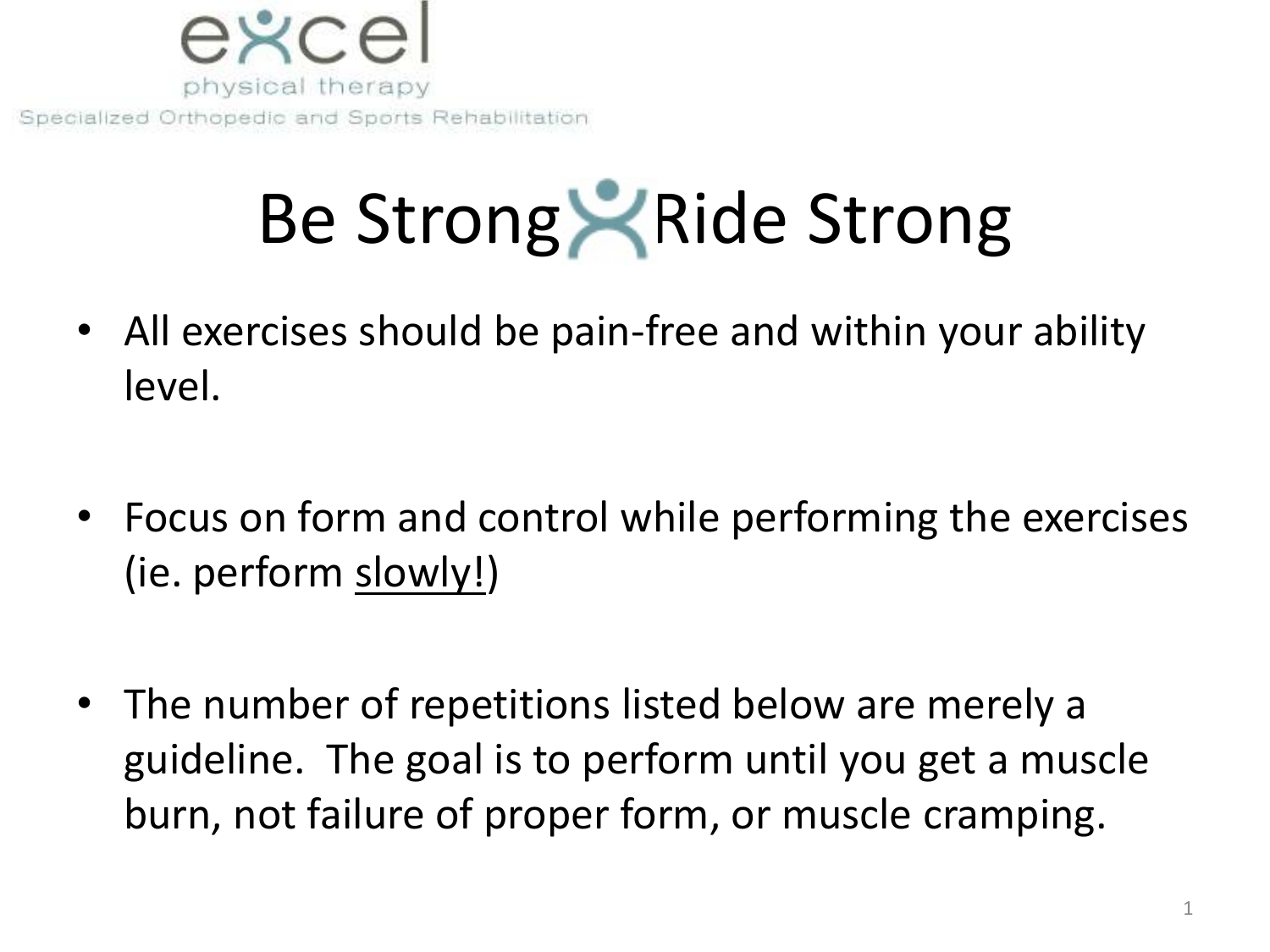

# Be Strong Ride Strong

- All exercises should be pain-free and within your ability level.
- Focus on form and control while performing the exercises (ie. perform slowly!)
- The number of repetitions listed below are merely a guideline. The goal is to perform until you get a muscle burn, not failure of proper form, or muscle cramping.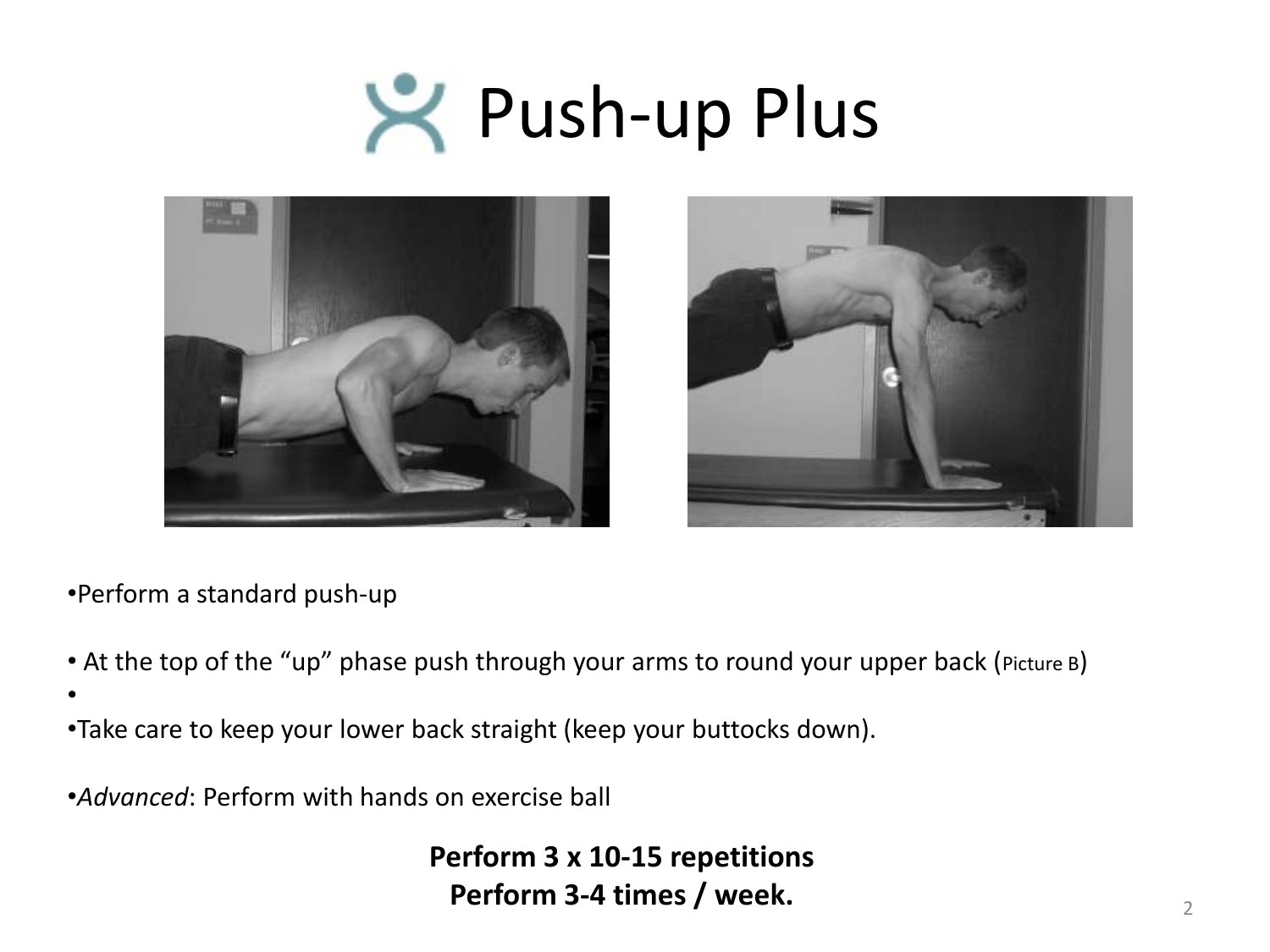# **Push-up Plus**





•Perform a standard push-up

- At the top of the "up" phase push through your arms to round your upper back (Picture B)
- •
- •Take care to keep your lower back straight (keep your buttocks down).
- •*Advanced*: Perform with hands on exercise ball

**Perform 3 x 10-15 repetitions Perform 3-4 times / week.** 2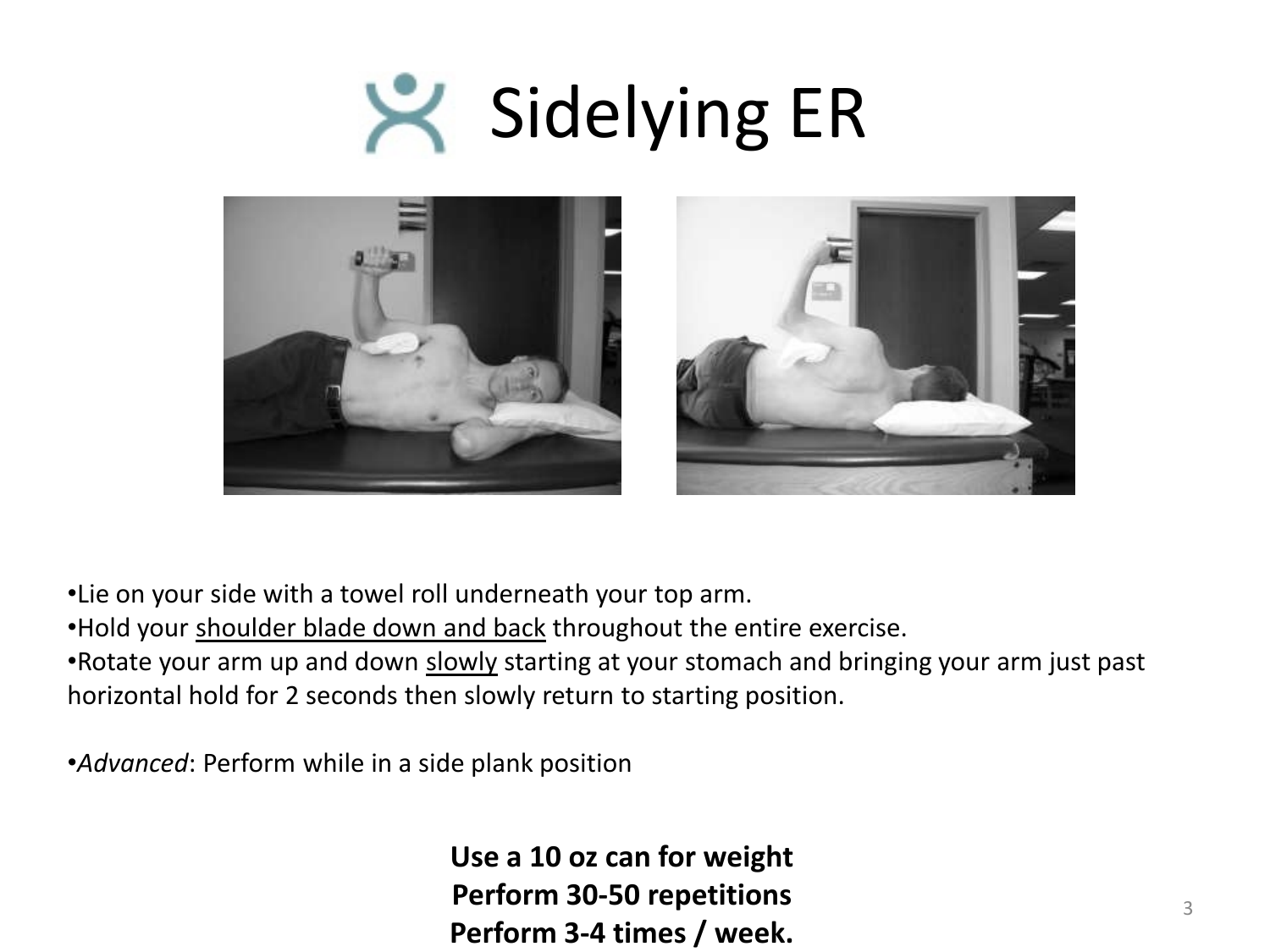### Sidelying ER  $\blacktriangleright$



•Lie on your side with a towel roll underneath your top arm.

•Hold your shoulder blade down and back throughout the entire exercise.

•Rotate your arm up and down slowly starting at your stomach and bringing your arm just past horizontal hold for 2 seconds then slowly return to starting position.

•*Advanced*: Perform while in a side plank position

**Use a 10 oz can for weight Perform 30-50 repetitions Perform 3-4 times / week.**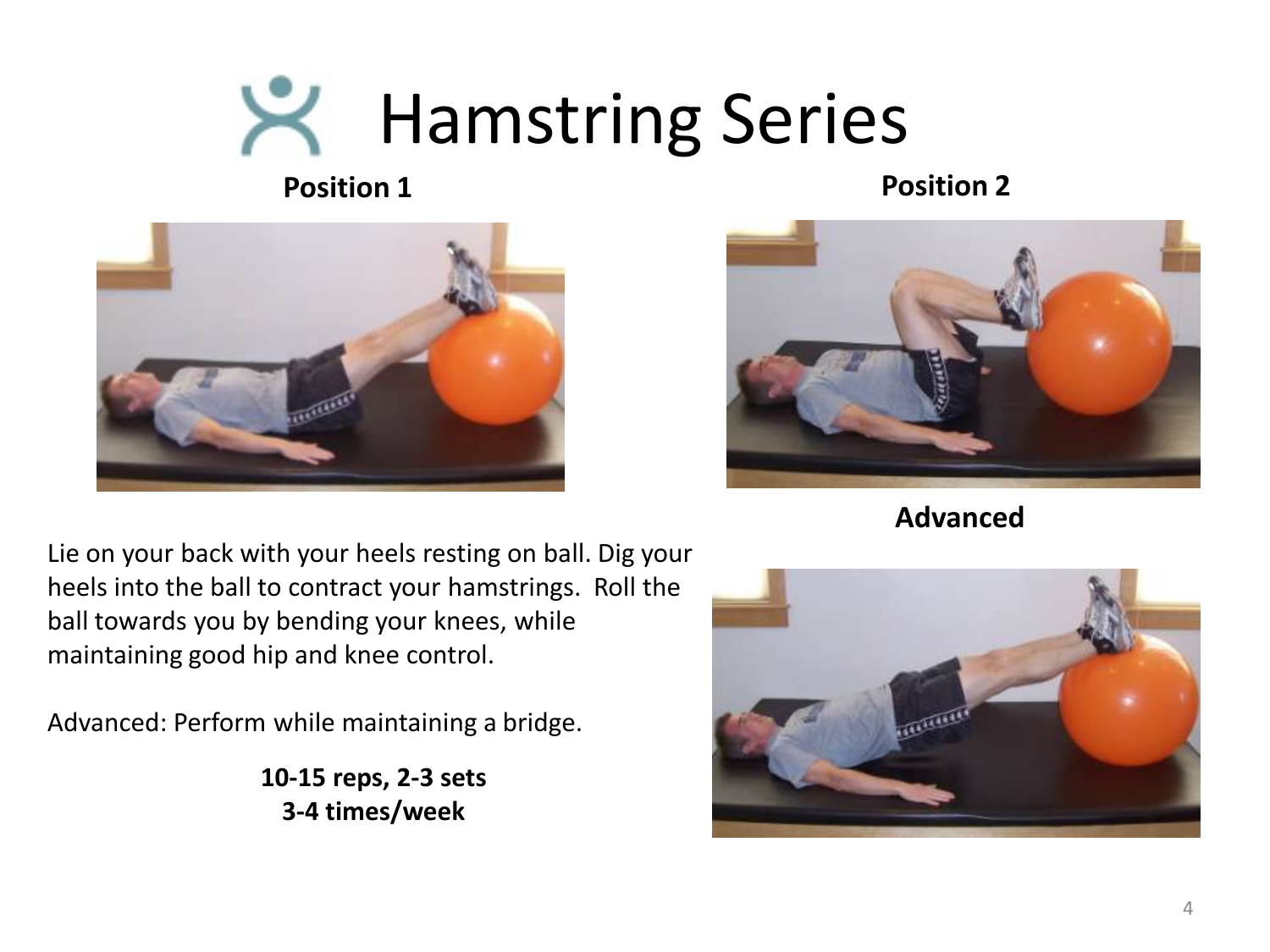### **K** Hamstring Series

**Position 1 Position 2** 



Lie on your back with your heels resting on ball. Dig your heels into the ball to contract your hamstrings. Roll the ball towards you by bending your knees, while maintaining good hip and knee control.

Advanced: Perform while maintaining a bridge.

**10-15 reps, 2-3 sets 3-4 times/week**



**Advanced**

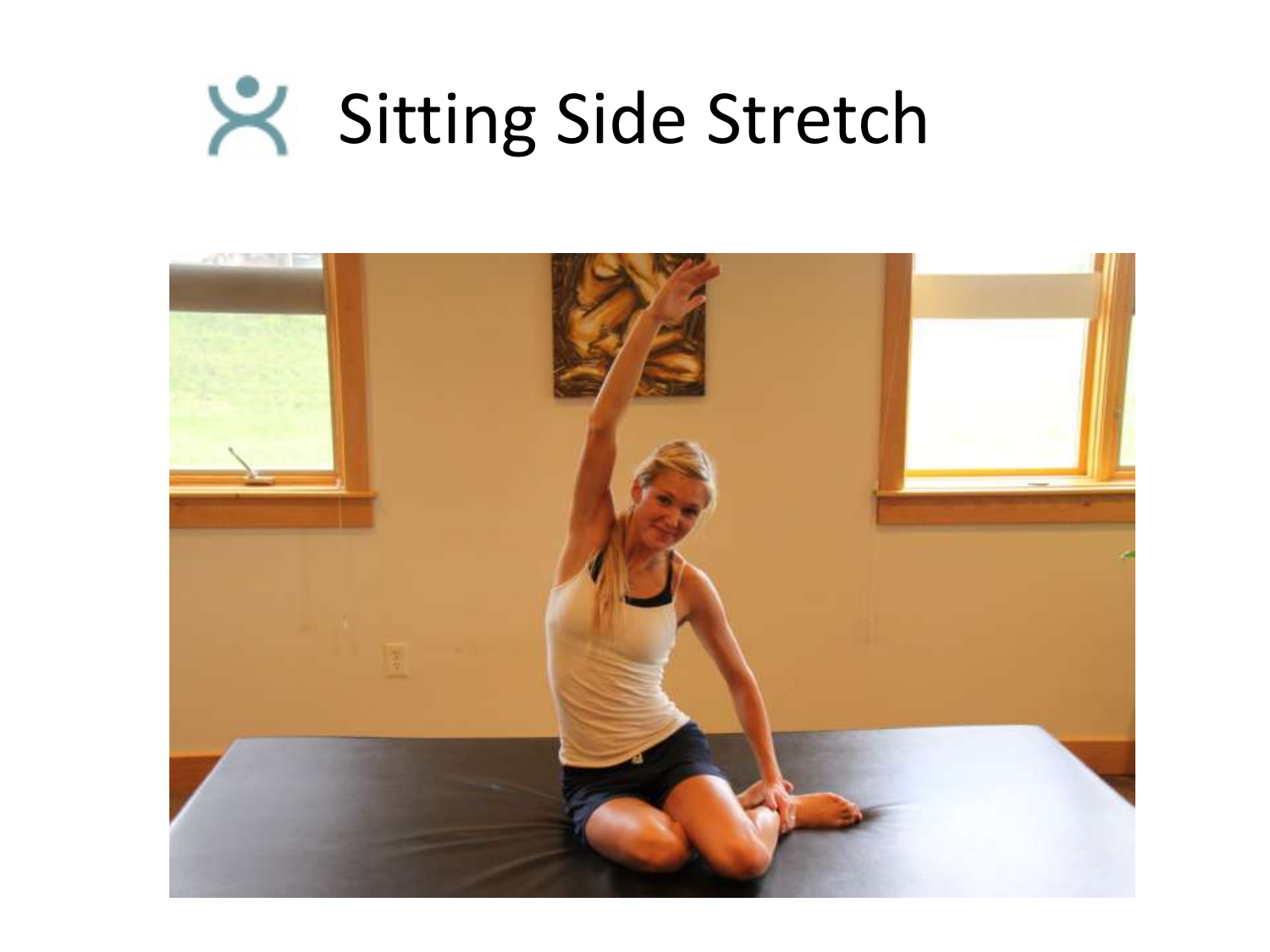# Sitting Side Stretch

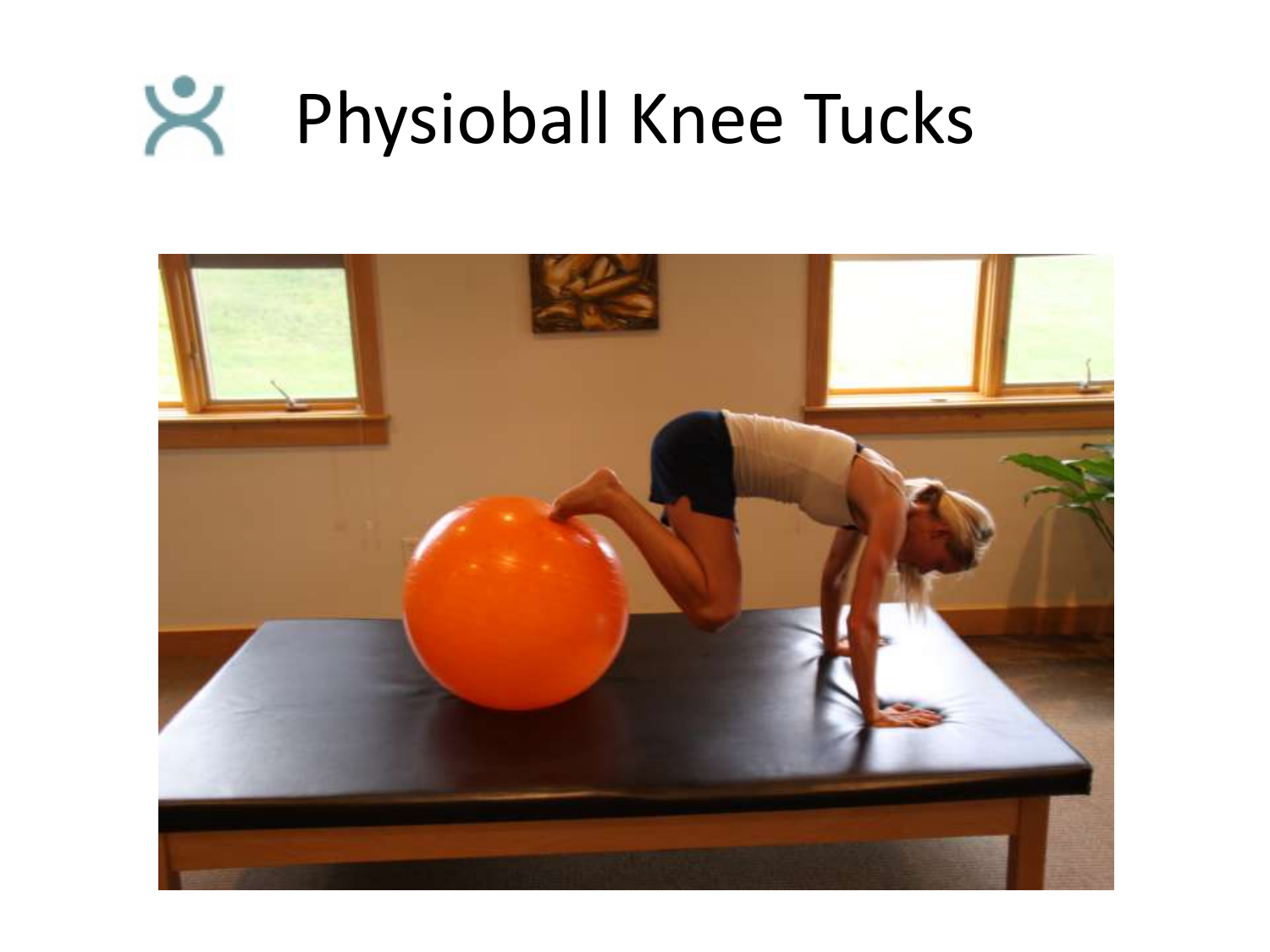### $\aleph$ Physioball Knee Tucks

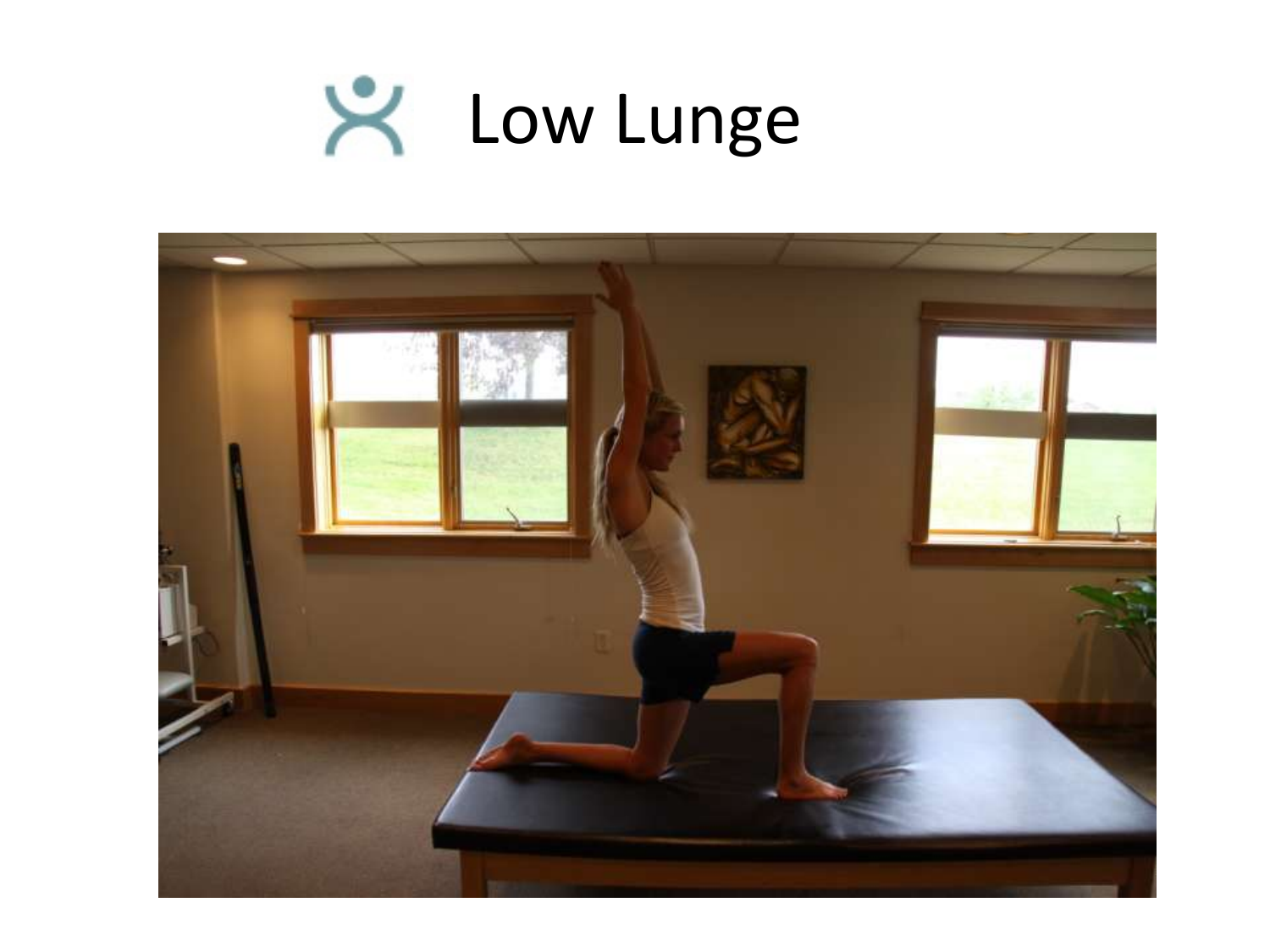

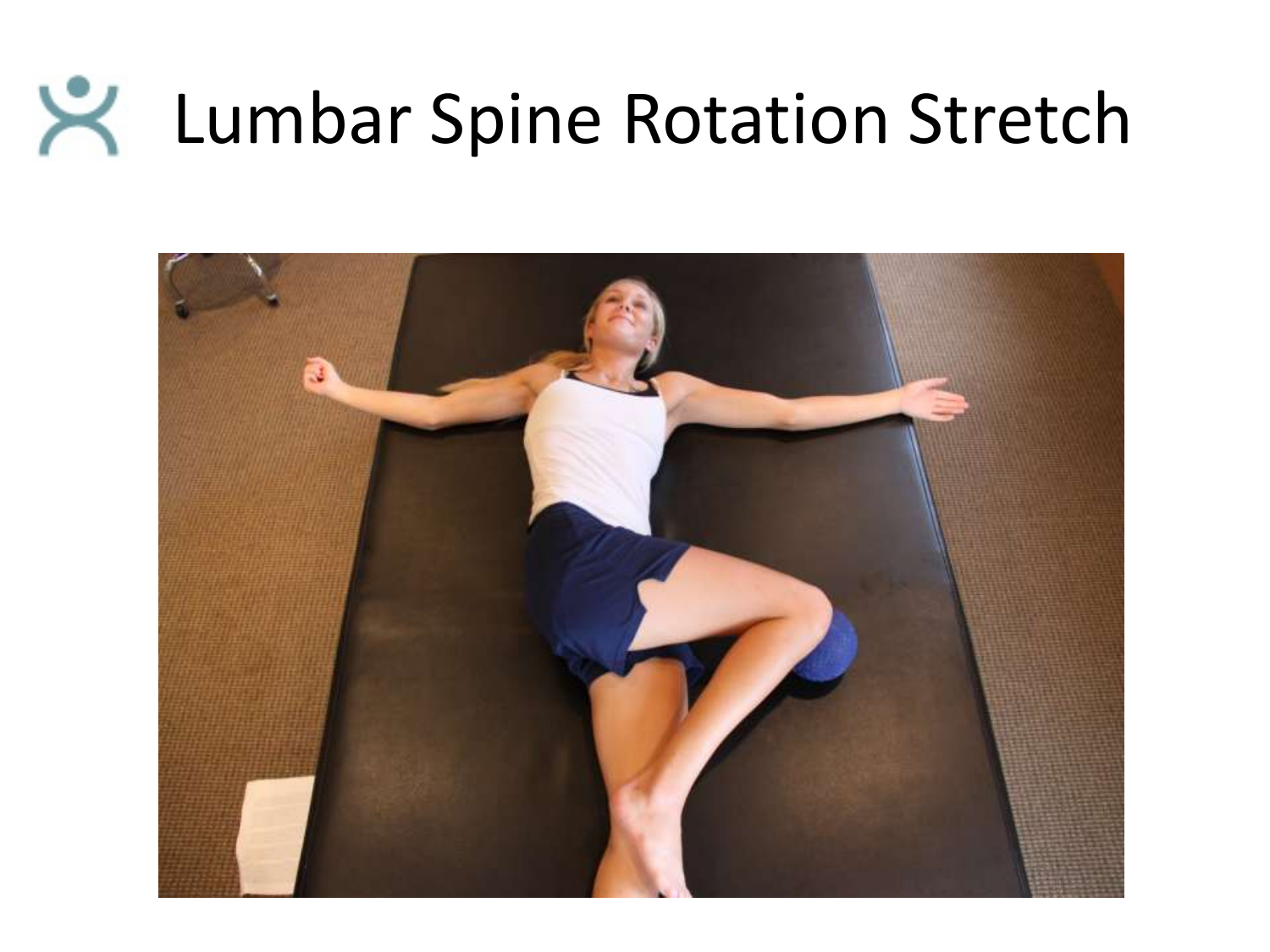### Lumbar Spine Rotation Stretch

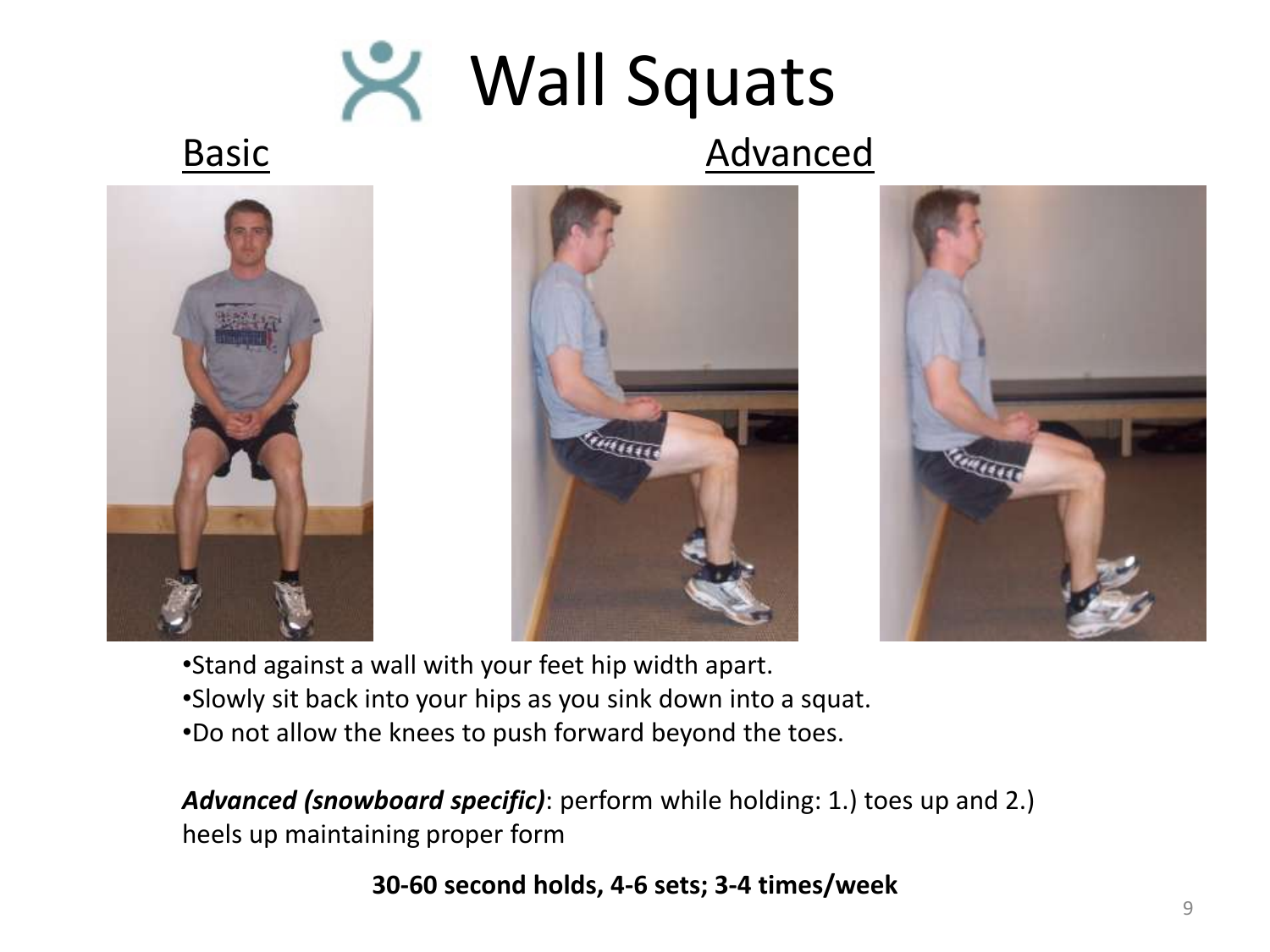

### Basic Advanced







•Stand against a wall with your feet hip width apart. •Slowly sit back into your hips as you sink down into a squat. •Do not allow the knees to push forward beyond the toes.

*Advanced (snowboard specific)*: perform while holding: 1.) toes up and 2.) heels up maintaining proper form

#### **30-60 second holds, 4-6 sets; 3-4 times/week**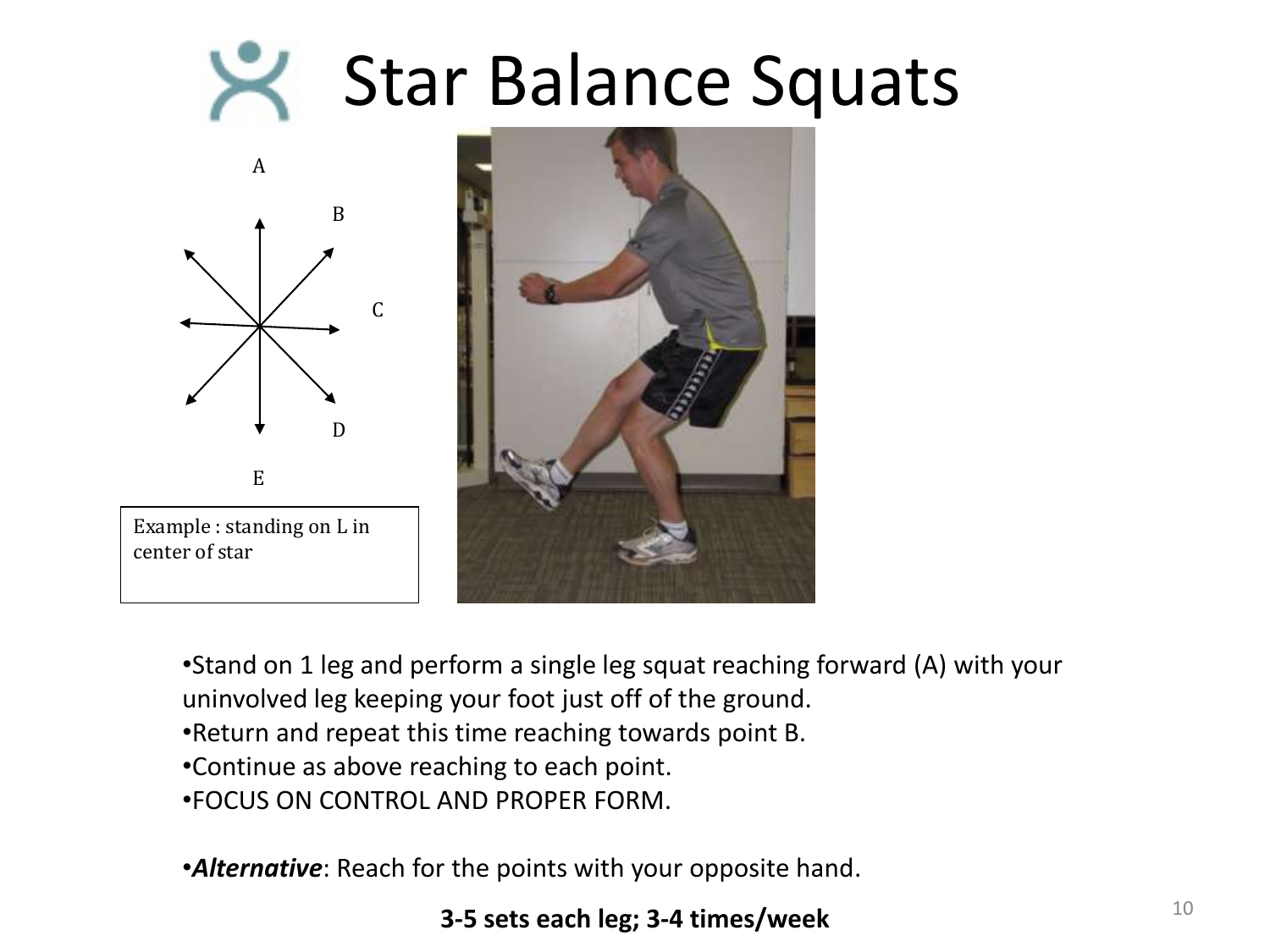### Star Balance Squats





•Stand on 1 leg and perform a single leg squat reaching forward (A) with your

- uninvolved leg keeping your foot just off of the ground.
- •Return and repeat this time reaching towards point B.
- •Continue as above reaching to each point.
- •FOCUS ON CONTROL AND PROPER FORM.

•*Alternative*: Reach for the points with your opposite hand.

#### **3-5** sets each leg; 3-4 times/week 10